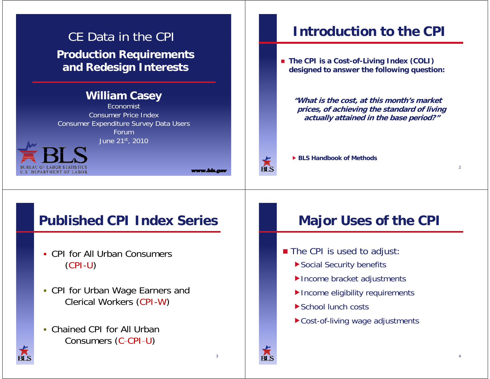## CE Data in the CPI**Production Requirements and Redesign Interests**

#### **William Casey**

EconomistConsumer Price IndexConsumer Expenditure Survey Data Users ForumJune 21st, 2010



www.bis.a

3

## **Introduction to the CPI**

 **The CPI is <sup>a</sup> Cost Cost-of-Living Index (COLI) Living designed to answer the following question:**

**"What is the cost, at this month's market prices, of achieving the standard of living actually attained in the base period?"**



### **Published CPI Index Series**

- CPI for All Urban Consumers (CPI-U)
- CPI for Urban Wage Earners and Clerical Workers (CPI-W) **CPI Index Series**<br>
Major Uses of the CPI<br>
Major Uses of the CPI<br>
Interval or Ners (CPI-W)<br>
Major Uses of the CPI<br>
Social Security benefits<br>
Income bracket adjustments<br>
Income bracket adjustments<br>
Income eligibility requir
- Chained CPI for All Urban Consumers (C-CPI-U)

- The CPI is used to adjust:
	- Social Security benefits
	- Income bracket adjustments
	- Income eligibility requirements
	- ▶ School lunch costs
	- ▶ Cost-of-living wage adjustments





 $\overline{\mathbf{B}}$   $\overline{\mathbf{S}}$ 

4

 $\overline{2}$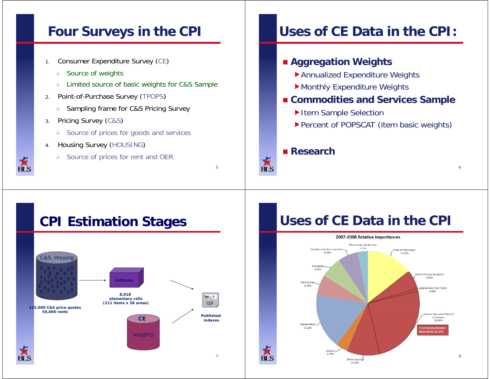## **Four Surveys in the CPI**

- 1.Consumer Expenditure Survey (CE)
	- $\triangleright$  Source of weights
	- $\triangleright$  Limited source of basic weights for C&S Sample
- 2. Point-of-Purchase Survey (TPOPS)
	- $\triangleright$  Sampling frame for C&S Pricing Survey
- 3. Pricing Survey (C&S)
	- $\triangleright$  Source of prices for goods and services
- 4. Housing Survey (HOUSING)
	- $\triangleright$  Source of prices for rent and OER

## **Uses of CE Data in the CPI:**

#### **Aggregation Weights**

- Annualized Expenditure Weights
- $\blacktriangleright$  Monthly Expenditure Weights
- **Commodities and Services Sample**
	- ▶Item Sample Selection
	- ▶ Percent of POPSCAT (item basic weights)

6

#### ■ Research

 $\frac{1}{\text{B}}$ 

5

#### **CPI Estimation Stages** C&S, Housing **\$ \$ \$ \$ \$ \$ \$ \$ \$ \$ \$ \$ \$ \$\$ \$ \$ \$ \$ \$\$ \$ \$ \$ \$ \$ \$ \$ \$ \$ \$ \$ \$ indexes***8,018*  News ... ... . ... *elementary cells* cpi *(211 items x 38 areas) 125,000 C&S price quotes 50,000 rents* **CE** *Published indexes*weights 7

## **Uses of CE Data in the CPI**



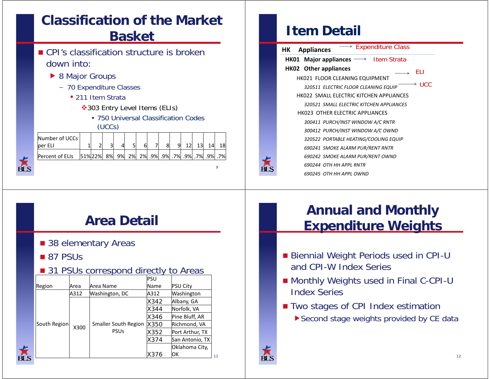## **Classification of the Market Basket**

- CPI's classification structure is broken down into:
	- ▶ 8 Major Groups
		- 70 Expenditure Classes
			- 211 Item Strata
				- ◆303 Entry Level Items (ELIs)
					- 750 Universal Classification Codes  $(UCCs)$

| Number of UCCs<br>ber ELI |        |    |    |    |  |                                 |  | 14 | 18 |
|---------------------------|--------|----|----|----|--|---------------------------------|--|----|----|
| Percent of ELIs           | 51%22% | 8% | 9% | 2% |  | .7% .9% .9% .7% .9% .7% .9% .9% |  |    |    |
|                           |        |    |    |    |  |                                 |  |    |    |

### **Item Detail**

| $\rightarrow$ Expenditure Class<br><b>Appliances</b><br>HК        |
|-------------------------------------------------------------------|
| <b>HK01 Major appliances</b> $\longrightarrow$ <b>Item Strata</b> |
| HK02 Other appliances<br>FL I                                     |
| HK021 FLOOR CLEANING EQUIPMENT                                    |
| -UCC<br>→<br>320511 ELECTRIC FLOOR CLEANING EQUIP                 |
| HK022 SMALL ELECTRIC KITCHEN APPLIANCES                           |
| 320521 SMALL FLECTRIC KITCHEN APPLIANCES                          |
| HK023 OTHER ELECTRIC APPLIANCES                                   |
| 300411 PURCH/INST WINDOW A/C RNTR                                 |
| 300412 PURCH/INST WINDOW A/C OWND                                 |
| 320522 PORTABLE HEATING/COOLING EQUIP                             |
| 690241 SMOKE ALARM PUR/RENT RNTR                                  |
| 690242 SMOKE ALARM PUR/RENT OWND                                  |
| 690244 OTH HH APPL RNTR                                           |
| 690245 OTH HH APPI OWND                                           |

## **Area Detail**

■ 38 elementary Areas

#### ■ 87 PSUs

#### **31 PSUs correspond directly to Areas**

|              |      |                                            | PSU  |                 |
|--------------|------|--------------------------------------------|------|-----------------|
| Region       | Area | Area Name                                  | Name | <b>PSU City</b> |
|              | A312 | Washington, DC                             | A312 | Washington      |
|              | X300 |                                            | X342 | Albany, GA      |
|              |      |                                            | X344 | Norfolk, VA     |
|              |      |                                            | X346 | Pine Bluff, AR  |
| South Region |      | <b>Smaller South Region</b><br><b>PSUs</b> | X350 | Richmond, VA    |
|              |      |                                            | X352 | Port Arthur, TX |
|              |      |                                            | X374 | San Antonio, TX |
|              |      |                                            |      | Oklahoma City,  |
|              |      |                                            | X376 | ЮK              |

## **Annual and Monthly Expenditure Weights**

- Biennial Weight Periods used in CPI-U and CPI-W Index Series
- Monthly Weights used in Final C-CPI-U Index Series
- Two stages of CPI Index estimation
	- ▶ Second stage weights provided by CE data

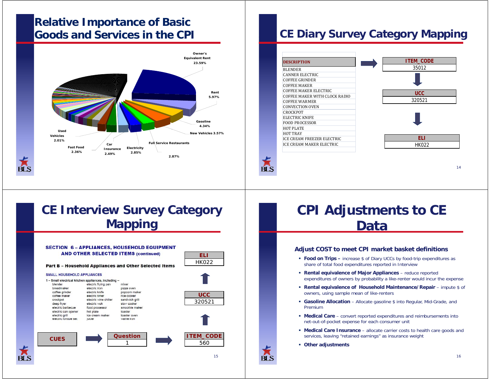#### **Relative Importance of Basic Goods and Services in the CPI**



#### **CE Diary Survey Category Mapping**

| <b>DESCRIPTION</b>     |                               |
|------------------------|-------------------------------|
| <b>BLENDER</b>         |                               |
| CANNER ELECTRIC        |                               |
| <b>COFFEE GRINDER</b>  |                               |
| <b>COFFEE MAKER</b>    |                               |
|                        | COFFEE MAKER ELECTRIC         |
|                        | COFFEE MAKER WITH CLOCK RADIO |
| COFFEE WARMER          |                               |
| <b>CONVECTION OVEN</b> |                               |
| CROCKPOT               |                               |
| <b>FLECTRIC KNIFE</b>  |                               |
| <b>FOOD PROCESSOR</b>  |                               |
| <b>HOT PLATE</b>       |                               |
| <b>HOT TRAY</b>        |                               |
|                        | ICE CREAM FREEZER ELECTRIC    |
|                        | ICE CREAM MAKER ELECTRIC      |

 $\overline{\mathbf{B}}$   $\overline{\mathbf{S}}$ 



**CE Interview Survey Category Mapping**



## **CPI Adjustments to CE Data**

#### **Adjust COST to meet CPI market basket definitions**

- **Food on Trips –** increase \$ of Diary UCCs by food-trip expenditures as share of total food expenditures reported in Interview
- **Rental equivalence of Major Appliances** – reduce reported expenditures of owners by probability a like-renter would incur the expense
- **Rental equivalence of Household Maintenance/Repair** impute \$ of owners, using sample mean of like-renters
- **Gasoline Allocation** Allocate gasoline \$ into Regular, Mid-Grade, and Premium
- **Medical Care** convert reported expenditures and reimbursements into net-out-of-pocket expense for each consumer unit
- **Medical Care Insurance** allocate carrier costs to health care goods and services, leaving "retained earnings" as insurance weight
- **City Other adjustments**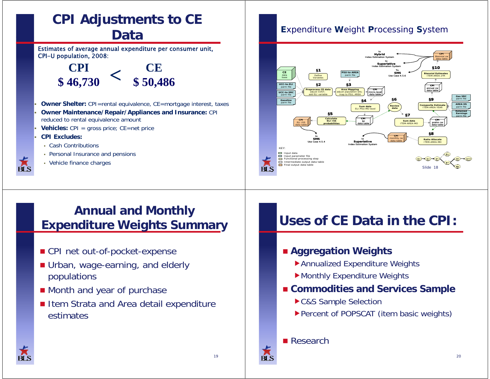

### **Annual and Monthly Expenditure Weights Summary**

- CPI net out-of-pocket-expense
- Urban, wage-earning, and elderly populations
- **Nonth and year of purchase**
- Item Strata and Area detail expenditure estimates

#### **E**xpenditure **W**eight **P**rocessing **S**ystem



## **Uses of CE Data in the CPI:**

#### **Aggregation Weights**

- Annualized Expenditure Weights
- Monthly Expenditure Weights
- **Commodities and Services Sample**
	- C&S Sample Selection
	- Percent of POPSCAT (item basic weights)

#### ■ Research

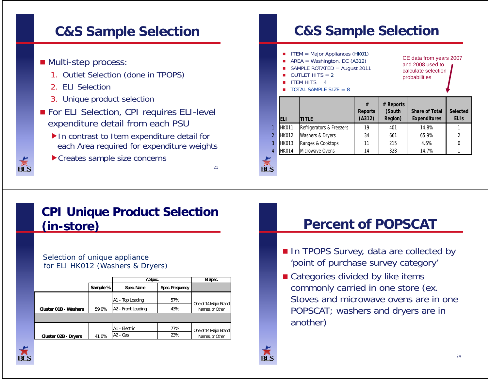## **C&S Sample Selection**

#### $\blacksquare$  Multi-step process:

- 1. Outlet Selection (done in TPOPS)
- 2. ELI Selection
- 3. Unique product selection
- For ELI Selection, CPI requires ELI-level expenditure detail from each PSU
	- ▶ In contrast to Item expenditure detail for each Area required for expenditure weights
	- Creates sample size concerns

### **CPI Unique Product Selection (in-store)**

#### Selection of unique appliance for ELI HK012 (Washers & Dryers)

|                       |          | A Spec.                        | B Spec.         |                       |
|-----------------------|----------|--------------------------------|-----------------|-----------------------|
|                       | Sample % | Spec. Name                     | Spec. Frequency |                       |
|                       |          | A1 - Top Loading               | 57%             | One of 14 Major Brand |
| Cluster 01B - Washers | 59.0%    | A <sub>2</sub> - Front Loading | 43%             | Names, or Other       |
|                       |          |                                |                 |                       |
|                       |          | A1 - Electric                  | 77%             | One of 14 Major Brand |
| Cluster 02B - Dryers  | 41.0%    | A <sub>2</sub> - Gas           | 23%             | Names, or Other       |

## **C&S Sample Selection p**

▁ ITEM = Major Appliances (HK01) П AREA = Washington, DC  $($ A312 $)$ <br>
and 2009 used to example the RIA and 2009 used to SAMPLE ROTATED = August 2011 OUTLET HITS  $= 2$ П ITEM HITS  $-4$ CE data from years 2007 and 2008 used to calculate selection probabilities  **# # Reports** TOTAL SAMPLE SIZE = 8 **ELI TITLEReports (A312) epo ts(South Region) Share of Total Expenditures Selected ELIs**1 |HK011 |Refrigerators & Freezers | 19 | 401 | 14.8% | 1

|   | $\blacksquare$ | $R$ in the divided $R$ is $R$ is $R$ | 17 | 40 I | 14.070 |  |
|---|----------------|--------------------------------------|----|------|--------|--|
|   | 2 HK012        | Washers & Dryers                     | 34 | 661  | 65.9%  |  |
|   |                | 3 HK013 Ranges & Cooktops            | 11 | 215  | 4.6%   |  |
| 4 | HK014          | Microwave Ovens                      | 14 | 328  | 14.7%  |  |

# вı s

1

21

#### **Percent of POPSCAT**

- In TPOPS Survey, data are collected by 'point of purchase survey category'
- **E** Categories divided by like items commonly carried in one store (ex. Stoves and microwave ovens are in one POPSCAT; washers and dryers are in another)

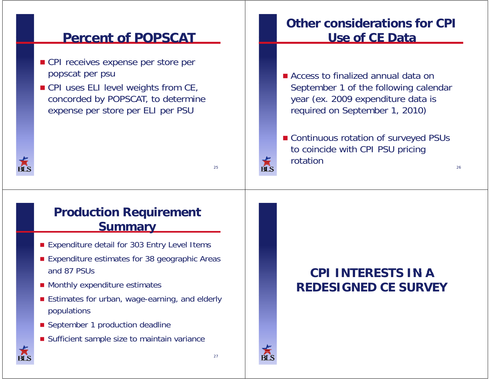#### **Percent of POPSCAT**

- CPI receives expense per store per popscat per psu
- $\blacksquare$  CPI uses ELI level weights from CE, concorded by POPSCAT, to determine expense per store per ELI per PSU

### **Other considerations for CPI Use of CE Data**

- **E** Access to finalized annual data on September 1 of the following calendar year (ex. 2009 expenditure data is required on September 1, 2010)
- Continuous rotation of surveyed PSUs to coincide with CPI PSU pricing rotation

26

#### **Production Requirement Summary**

- Expenditure detail for 303 Entry Level Items
- **Expenditure estimates for 38 geographic Areas** and 87 PSUs
- Monthly expenditure estimates
- **E** Estimates for urban, wage-earning, and elderly populations
- September 1 production deadline
- **B** Sufficient sample size to maintain variance

### **CPI INTERESTS IN AREDESIGNED CE SURVEY**



25

ŔI S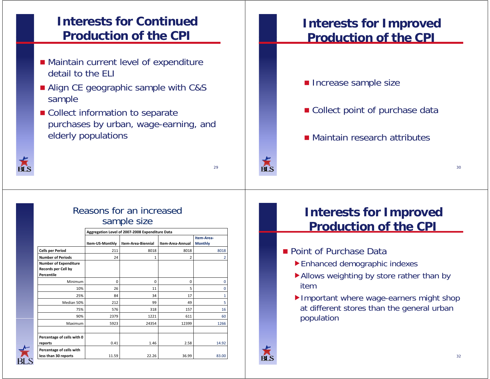### **Interests for Continued Production of the CPI**

- $\blacksquare$  Maintain current level of expenditure detail to the ELI
- **Align CE geographic sample with C&S** sample
- Collect information to separate purchases by urban, wage-earning, and elderly populations



#### Reasons for an increased sample size

|                                                                   | Aggregation Level of 2007-2008 Expenditure Data |                    |                  |                              |  |  |  |  |
|-------------------------------------------------------------------|-------------------------------------------------|--------------------|------------------|------------------------------|--|--|--|--|
|                                                                   | Item-US-Monthly                                 | Item-Area-Biennial | Item-Area-Annual | Item-Area-<br><b>Monthly</b> |  |  |  |  |
| <b>Cells per Period</b>                                           | 211                                             | 8018               | 8018             | 8018                         |  |  |  |  |
| <b>Number of Periods</b>                                          | 24                                              | 1                  | $\overline{2}$   | 2                            |  |  |  |  |
| <b>Number of Expenditure</b><br>Records per Cell by<br>Percentile |                                                 |                    |                  |                              |  |  |  |  |
| Minimum                                                           | 0                                               | 0                  | $\mathbf 0$      | 0                            |  |  |  |  |
| 10%                                                               | 26                                              | 11                 | 5                | 0                            |  |  |  |  |
| 25%                                                               | 84                                              | 34                 | 17               | 1                            |  |  |  |  |
| Median 50%                                                        | 212                                             | 99                 | 49               | 5                            |  |  |  |  |
| 75%                                                               | 576                                             | 318                | 157              | 16                           |  |  |  |  |
| 90%                                                               | 2379                                            | 1221               | 611              | 60                           |  |  |  |  |
| Maximum                                                           | 5923                                            | 24354              | 12399            | 1266                         |  |  |  |  |
| Percentage of cells with 0<br>reports                             | 0.41                                            | 1.46               | 2.58             | 14.92                        |  |  |  |  |
| Percentage of cells with<br>less than 30 reports                  | 11.59                                           | 22.26              | 36.99            | 83.00                        |  |  |  |  |

#### **Interests for Improved Production of the CPI**

- **Increase sample size**
- Collect point of purchase data
- Maintain research attributes

#### **Interests for Improved Production of the CPI**

- **Point of Purchase Data** 
	- Enhanced demographic indexes
	- Allows weighting by store rather than by item
	- Important where wage-earners might shop at different stores than the general urban population



ŔŃ

29